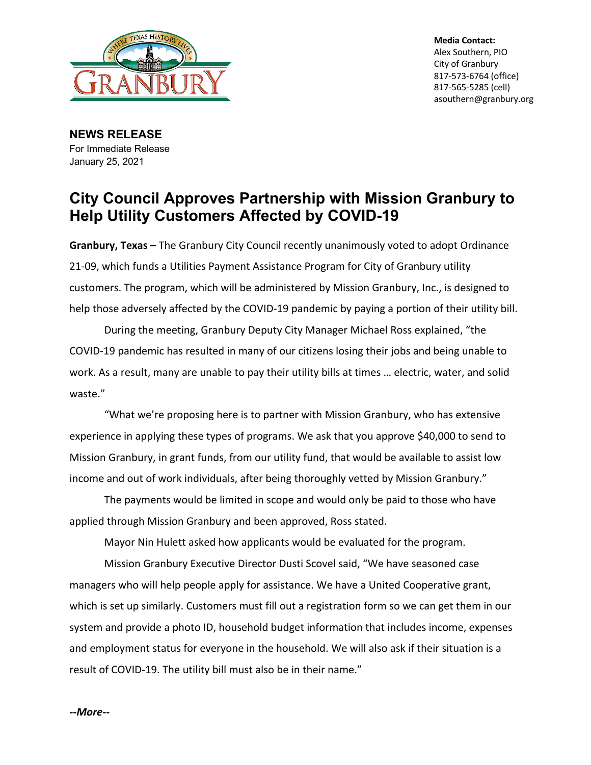

**Media Contact:** Alex Southern, PIO City of Granbury 817-573-6764 (office) 817-565-5285 (cell) asouthern@granbury.org

**NEWS RELEASE** For Immediate Release January 25, 2021

## **City Council Approves Partnership with Mission Granbury to Help Utility Customers Affected by COVID-19**

**Granbury, Texas –** The Granbury City Council recently unanimously voted to adopt Ordinance 21-09, which funds a Utilities Payment Assistance Program for City of Granbury utility customers. The program, which will be administered by Mission Granbury, Inc., is designed to help those adversely affected by the COVID-19 pandemic by paying a portion of their utility bill.

During the meeting, Granbury Deputy City Manager Michael Ross explained, "the COVID-19 pandemic has resulted in many of our citizens losing their jobs and being unable to work. As a result, many are unable to pay their utility bills at times … electric, water, and solid waste."

"What we're proposing here is to partner with Mission Granbury, who has extensive experience in applying these types of programs. We ask that you approve \$40,000 to send to Mission Granbury, in grant funds, from our utility fund, that would be available to assist low income and out of work individuals, after being thoroughly vetted by Mission Granbury."

The payments would be limited in scope and would only be paid to those who have applied through Mission Granbury and been approved, Ross stated.

Mayor Nin Hulett asked how applicants would be evaluated for the program.

Mission Granbury Executive Director Dusti Scovel said, "We have seasoned case managers who will help people apply for assistance. We have a United Cooperative grant, which is set up similarly. Customers must fill out a registration form so we can get them in our system and provide a photo ID, household budget information that includes income, expenses and employment status for everyone in the household. We will also ask if their situation is a result of COVID-19. The utility bill must also be in their name."